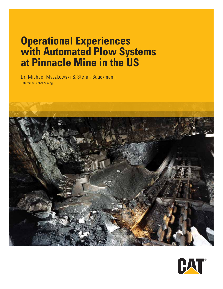# **Operational Experiences with Automated Plow Systems at Pinnacle Mine in the US**

Dr. Michael Myszkowski & Stefan Bauckmann Caterpillar Global Mining



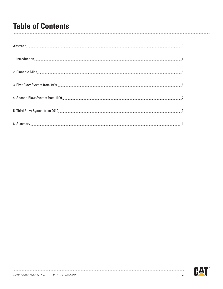## **Table of Contents**

| Abstract 33 |  |
|-------------|--|
|             |  |
|             |  |
|             |  |
|             |  |
|             |  |
|             |  |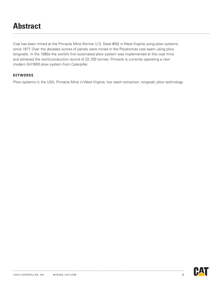# **Abstract**

Coal has been mined at the Pinnacle Mine (former U.S. Steel #50) in West Virginia using plow systems since 1977. Over the decades scores of panels were mined in the Pocahontas coal seam using plow longwalls. In the 1990s the world's first automated plow system was implemented at this coal mine and achieved the world production record of 22,700 tonnes. Pinnacle is currently operating a new modern GH1600 plow system from Caterpillar.

#### **keywords**

Plow systems in the USA, Pinnacle Mine in West Virginia, low seam extraction, longwall, plow technology

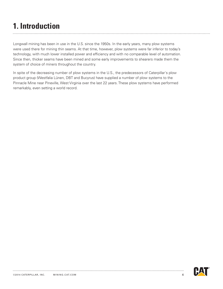# **1. Introduction**

Longwall mining has been in use in the U.S. since the 1950s. In the early years, many plow systems were used there for mining thin seams. At that time, however, plow systems were far inferior to today's technology, with much lower installed power and efficiency and with no comparable level of automation. Since then, thicker seams have been mined and some early improvements to shearers made them the system of choice of miners throughout the country.

In spite of the decreasing number of plow systems in the U.S., the predecessors of Caterpillar's plow product group (Westfalia Lünen, DBT and Bucyrus) have supplied a number of plow systems to the Pinnacle Mine near Pineville, West Virginia over the last 22 years. These plow systems have performed remarkably, even setting a world record.

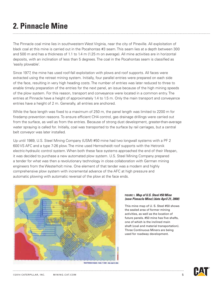# **2. Pinnacle Mine**

The Pinnacle coal mine lies in southwestern West Virginia, near the city of Pineville. All exploitation of black coal at this mine is carried out in the Pocahontas #3 seam. This seam lies at a depth between 300 and 500 m and has a thickness of 1.1 to 1.4 m (1.25 m on average). All mine activities are in horizontal deposits, with an inclination of less than 5 degrees. The coal in the Pocahontas seam is classified as 'easily plowable'.

Since 1977, the mine has used roof-fall exploitation with plows and roof supports. All faces were extracted using the retreat mining system. Initially, four parallel entries were prepared on each side of the face, resulting in very high heading costs. The number of entries was later reduced to three to enable timely preparation of the entries for the next panel, an issue because of the high mining speeds of the plow system. For this reason, transport and conveyance were located in a common entry. The entries at Pinnacle have a height of approximately 1.4 to 1.5 m. Only the main transport and conveyance entries have a height of 2 m. Generally, all entries are anchored.

While the face length was fixed to a maximum of 250 m, the panel length was limited to 2200 m for firedamp prevention reasons. To ensure efficient CH4 control, gas drainage drillings were carried out from the surface, as well as from the entries. Because of strong dust development, greater-than-average water spraying is called for. Initially, coal was transported to the surface by rail carriages, but a central belt conveyor was later installed.

Up until 1989, U.S. Steel Mining Company (USM) #50 mine had two longwall systems with a PF 2 600 VS AFC and a type 7-26 plow. The mine used Hemscheidt roof supports with the Hetronik electric-hydraulic control system. When both these face systems approached the end of their lifespan, it was decided to purchase a new automated plow system. U.S. Steel Mining Company prepared a tender for what was then a revolutionary technology in close collaboration with German mining engineers from the Westerholt mine. One element of that tender was a modern and highly comprehensive plow system with incremental advance of the AFC at high pressure and automatic plowing with automatic reversal of the plow at the face ends.



#### **figure 1.** *Map of U.S. Steel #50 Mine (now Pinnacle Mine) (date April 21, 2000)*

This mine map of U. S. Steel #50 shows the sealed area of former mining activities, as well as the location of future panels. #50 mine has five shafts, one of which is the inclined main shaft (coal and material transportation). Three Continuous Miners are being used for roadway development.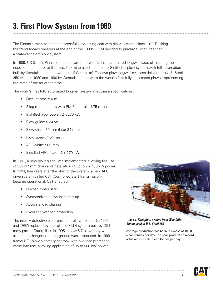## **3. First Plow System from 1989**

The Pinnacle mine has been successfully extracting coal with plow systems since 1977. Bucking the trend toward shearers at the end of the 1980s, USM decided to purchase what was then a state-of-the-art plow system.

In 1989, US Steel's Pinnacle mine became the world's first automated longwall face, eliminating the need for an operator at the face. The mine used a complete Gleithobel plow system with full automation built by Westfalia Lünen (now a part of Caterpillar). The two plow longwall systems delivered to U.S. Steel #50 Mine in 1989 and 1990 by Westfalia Lünen were the world's first fully automated plows, representing the state of the art at the time.

The world's first fully automated longwall system met these specifications:

- Face length: 250 m
- 2-leg roof supports with PM 3 controls, 1.75 m centers
- Installed plow power: 2 x 270 kW
- Plow guide: 9-34 ve
- Plow chain: 30 mm (later 34 mm)
- Plow speed: 1.54 m/s
- AFC width: 900 mm
- Installed AFC power: 2 x 270 kW

In 1991, a new plow guide was implemented, allowing the use of 38x137 mm chain and installation of up to 2 x 400 kW power. In 1994, five years after the start of the system, a new AFC drive system called CST (Controlled Start Transmission) became operational. CST ensured:

- No-load motor start
- Synchronized heavy-load start-up
- Accurate load sharing
- **Excellent overload protection**

The initially defective electronic controls were later (in 1996 and 1997) replaced by the reliable PM 4 system built by DBT (now part of Caterpillar). In 1995, a new 5.7 plow body with all parts exchangeable underground was introduced. In 1999, a new UEL plow planetary gearbox with overload protection came into use, allowing application of up to 500 kW power.



*Lünen used at U.S. Steel #50*

Average production has been in excess of 10.889 clean tonnes per day. The peak production record achieved is 18.145 clean tonnes per day.

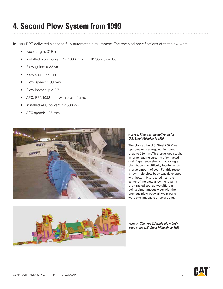#### **4. Second Plow System from 1999**

In 1999 DBT delivered a second fully automated plow system. The technical specifications of that plow were:

- Face length: 319 m
- Installed plow power:  $2 \times 400$  kW with HK 30-2 plow box
- Plow guide: 9-38 ve
- Plow chain: 38 mm
- Plow speed: 1.98 m/s
- Plow body: triple 2.7
- AFC: PF4/1032 mm with cross-frame
- Installed AFC power: 2 x 600 kW
- AFC speed: 1.86 m/s



#### **figure 3.** *Plow system delivered for U.S. Steel #50 mine in 1999*

The plow at the U.S. Steel #50 Mine operates with a large cutting depth of up to 250 mm. This large web results in large loading streams of extracted coal. Experience shows that a single plow body has difficulty loading such a large amount of coal. For this reason, a new triple plow body was developed with bottom bits located near the center of the plow allowing loading of extracted coal at two different points simultaneously. As with the previous plow body, all wear parts were exchangeable underground.



**figure 4.** *The type 2.7 triple plow body used at the U.S. Steel Mine since 1999*

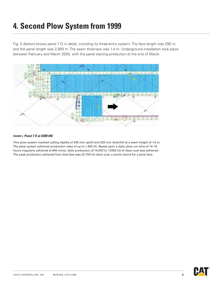### **4. Second Plow System from 1999**

Fig. 5 *(below)* shows panel 7 O in detail, including its three-entry system. The face length was 290 m, and the panel length was 2,800 m. The seam thickness was 1.4 m. Underground installation took place between February and March 2000, with the panel starting production at the end of March.



#### **figure 5.** *Panel 7 O at USM #50*

This plow system reached cutting depths of 240 mm uphill and 220 mm downhill at a seam height of 1.4 m. The plow system achieved production rates of up to 1,400 t/h. Based upon a daily plow run time of 14–16 hours (regularly achieved at #50 mine), daily production of 14,000 to 17,000 t/d of clean coal was achieved. The peak production achieved from that face was 22,700 t/d clean coal, a world record for a plow face.

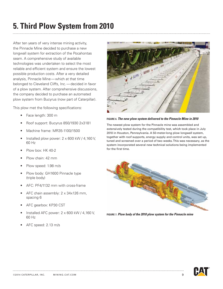### **5. Third Plow System from 2010**

After ten years of very intense mining activity, the Pinnacle Mine decided to purchase a new longwall system for extraction of the Pocahontas seam. A comprehensive study of available technologies was undertaken to select the most reliable and efficient system and ensure the lowest possible production costs. After a very detailed analysis, Pinnacle Mine—which at that time belonged to Cleveland Cliffs, Inc.—decided in favor of a plow system. After comprehensive discussions, the company decided to purchase an automated plow system from Bucyrus (now part of Caterpillar).

This plow met the following specifications:

- Face length: 300 m
- Roof support: Bucyrus 850/1930 2x3181
- Machine frame: MR35-1100/1500
- Installed plow power: 2 x 600 kW / 4,160 V, 60 Hz
- Plow box: HK 40-2
- Plow chain: 42 mm
- Plow speed: 1.98 m/s
- Plow body: GH1600 Pinnacle type (triple body)
- AFC: PF4/1132 mm with cross-frame
- AFC chain assembly: 2 x 34x126 mm, spacing 6
- AFC gearbox: KP30 CST
- Installed AFC power: 2 x 600 kW / 4,160 V, 60 Hz
- AFC speed: 2.13 m/s



**figure 6.** *The new plow system delivered to the Pinnacle Mine in 2010*

The newest plow system for the Pinnacle mine was assembled and extensively tested during the compatibility test, which took place in July 2010 in Houston, Pennsylvania. A 50-meter-long plow longwall system, together with roof supports, energy supply and control units, was set up, tuned and screened over a period of two weeks. This was necessary, as the system incorporated several new technical solutions being implemented for the first time.



**figure 7.** *Plow body of the 2010 plow system for the Pinnacle mine*

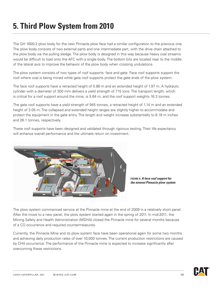### **5. Third Plow System from 2010**

The GH 1600-2 plow body for the new Pinnacle plow face had a similar configuration to the previous one. The plow body consists of two external parts and one intermediate part, with the drive chain attached to the plow body via the pulling sledge. The plow body is designed in this way because heavy coal streams would be difficult to load onto the AFC with a single body. The bottom bits are located near to the middle of the lateral axis to improve the behavior of the plow body when crossing undulations.

The plow system consists of two types of roof supports: face and gate. Face roof supports support the roof where coal is being mined while gate roof supports protect the gate ends of the plow system.

The face roof supports have a retracted height of 0.88 m and an extended height of 1.97 m. A hydraulic cylinder with a diameter of 300 mm delivers a yield strength of 715 tons. The transport length, which is critical for a roof support around the mine, is 5.64 m, and the roof support weights 16.3 tonnes.

The gate roof supports have a yield strength of 945 tonnes, a retracted height of 1.14 m and an extended height of 3.05 m. The collapsed and extended height ranges are slightly higher to accommodate and protect the equipment in the gate entry. The length and weight increase substantially to 8.18 m inches and 26.1 tonnes, respectively.

These roof supports have been designed and validated through rigorous testing. Their life expectancy will enhance overall performance and the ultimate return on investment.



**figure 8.** *A face roof support for the newest Pinnacle plow system*

The plow system commenced service at the Pinnacle mine at the end of 2009 in a relatively short panel. After the move to a new panel, the plow system started again in the spring of 2011. In mid-2011, the Mining Safety and Health Administration (MSHA) closed the Pinnacle mine for several months because of a CO occurrence and required countermeasures.

Currently, the Pinnacle Mine and its plow system face have been operational again for some two months and achieving daily production rates of over 10,000 tonnes. The current production restrictions are caused by CH4 occurrence. The performance of the Pinnacle mine is expected to increase significantly after overcoming these restrictions.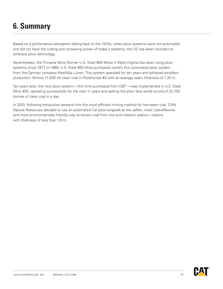# **6. Summary**

Based on a performance perception dating back to the 1970s, when plow systems were not automated and did not have the cutting and conveying power of today's systems, the US has been reluctant to embrace plow technology.

Nevertheless, the Pinnacle Mine (former U.S. Steel #50 Mine) in West Virginia has been using plow systems since 1977. In 1989, U.S. Steel #50 Mine purchased world's first automated plow system from the German company Westfalia Lünen. This system operated for ten years and achieved excellent production: Almost 11,000 t/d clean coal in Pocahontas #3 with an average seam thickness of 1.25 m.

Ten years later, the next plow system—this time purchased from DBT—was implemented in U.S. Steel Mine #50, operating successfully for the next 11 years and setting the plow face world record of 22,700 tonnes of clean coal in a day.

In 2010, following exhaustive research into the most efficient mining method for low-seam coal, Cliffs Natural Resources decided to use an automated Cat plow longwall as the safest, most cost-effective and most environmentally friendly way to extract coal from low and medium seams—seams with thickness of less than 1.8 m.